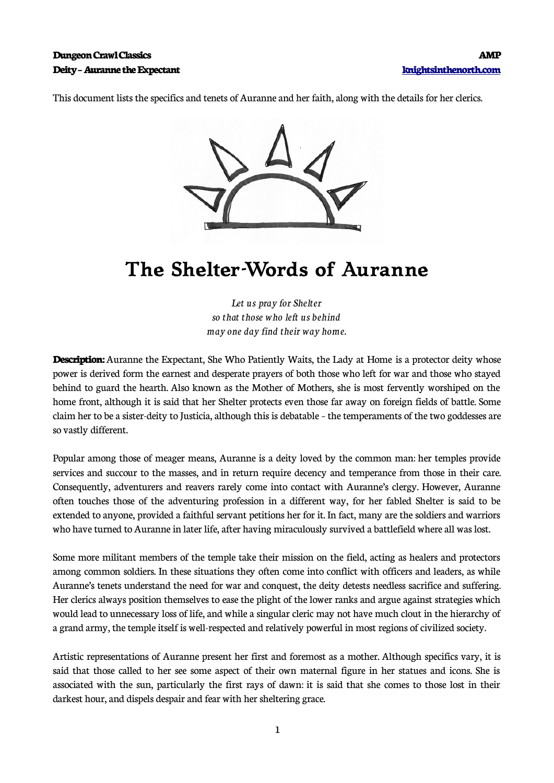This document lists the specifics and tenets of Auranne and her faith, along with the details for her clerics.



## **The Shelter-Words of Auranne**

*Let us pray for Shelter so that those who left us behind may one day find their way home.*

**Description:** Auranne the Expectant, She Who Patiently Waits, the Lady at Home is a protector deity whose power is derived form the earnest and desperate prayers of both those who left for war and those who stayed behind to guard the hearth. Also known as the Mother of Mothers, she is most fervently worshiped on the home front, although it is said that her Shelter protects even those far away on foreign fields of battle. Some claim her to be a sister-deity to Justicia, although this is debatable – the temperaments of the two goddesses are so vastly different.

Popular among those of meager means, Auranne is a deity loved by the common man: her temples provide services and succour to the masses, and in return require decency and temperance from those in their care. Consequently, adventurers and reavers rarely come into contact with Auranne's clergy. However, Auranne often touches those of the adventuring profession in a different way, for her fabled Shelter is said to be extended to anyone, provided a faithful servant petitions her for it. In fact, many are the soldiers and warriors who have turned to Auranne in later life, after having miraculously survived a battlefield where all was lost.

Some more militant members of the temple take their mission on the field, acting as healers and protectors among common soldiers. In these situations they often come into conflict with officers and leaders, as while Auranne's tenets understand the need for war and conquest, the deity detests needless sacrifice and suffering. Her clerics always position themselves to ease the plight of the lower ranks and argue against strategies which would lead to unnecessary loss of life, and while a singular cleric may not have much clout in the hierarchy of a grand army, the temple itself is well-respected and relatively powerful in most regions of civilized society.

Artistic representations of Auranne present her first and foremost as a mother. Although specifics vary, it is said that those called to her see some aspect of their own maternal figure in her statues and icons. She is associated with the sun, particularly the first rays of dawn: it is said that she comes to those lost in their darkest hour, and dispels despair and fear with her sheltering grace.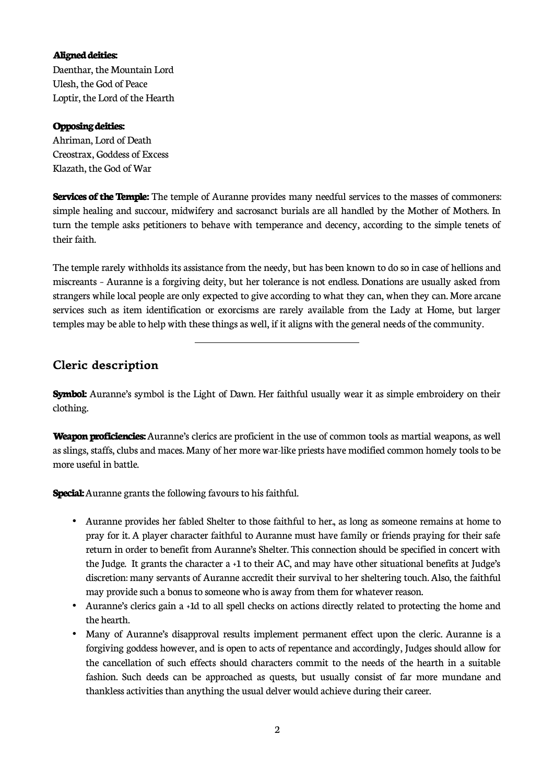## **Aligned deities:**

Daenthar, the Mountain Lord Ulesh, the God of Peace Loptir, the Lord of the Hearth

## **Opposing deities:**

Ahriman, Lord of Death Creostrax, Goddess of Excess Klazath, the God of War

**Services of the Temple:** The temple of Auranne provides many needful services to the masses of commoners: simple healing and succour, midwifery and sacrosanct burials are all handled by the Mother of Mothers. In turn the temple asks petitioners to behave with temperance and decency, according to the simple tenets of their faith.

The temple rarely withholds its assistance from the needy, but has been known to do so in case of hellions and miscreants – Auranne is a forgiving deity, but her tolerance is not endless. Donations are usually asked from strangers while local people are only expected to give according to what they can, when they can. More arcane services such as item identification or exorcisms are rarely available from the Lady at Home, but larger temples may be able to help with these things as well, if it aligns with the general needs of the community.

## **Cleric description**

**Symbol:** Auranne's symbol is the Light of Dawn. Her faithful usually wear it as simple embroidery on their clothing.

**Weapon proficiencies:** Auranne's clerics are proficient in the use of common tools as martial weapons, as well as slings, staffs, clubs and maces. Many of her more war-like priests have modified common homely tools to be more useful in battle.

**Special:** Auranne grants the following favours to his faithful.

 $\overline{a}$ 

- Auranne provides her fabled Shelter to those faithful to her., as long as someone remains at home to pray for it. A player character faithful to Auranne must have family or friends praying for their safe return in order to benefit from Auranne's Shelter. This connection should be specified in concert with the Judge. It grants the character a +1 to their AC, and may have other situational benefits at Judge's discretion: many servants of Auranne accredit their survival to her sheltering touch. Also, the faithful may provide such a bonus to someone who is away from them for whatever reason.
- Auranne's clerics gain a +1d to all spell checks on actions directly related to protecting the home and the hearth.
- Many of Auranne's disapproval results implement permanent effect upon the cleric. Auranne is a forgiving goddess however, and is open to acts of repentance and accordingly, Judges should allow for the cancellation of such effects should characters commit to the needs of the hearth in a suitable fashion. Such deeds can be approached as quests, but usually consist of far more mundane and thankless activities than anything the usual delver would achieve during their career.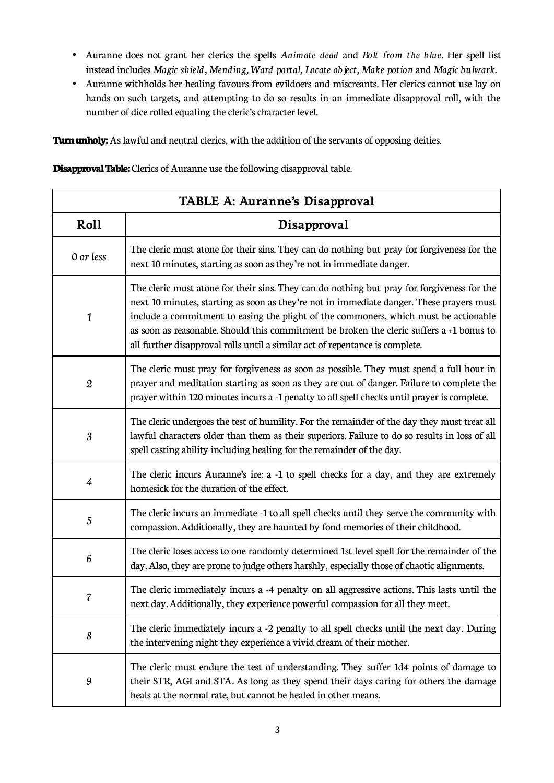- Auranne does not grant her clerics the spells *Animate dead* and *Bolt from the blue.* Her spell list instead includes *Magic shield, Mending, Ward portal, Locate object, Make potion* and *Magic bulwark.*
- Auranne withholds her healing favours from evildoers and miscreants. Her clerics cannot use lay on hands on such targets, and attempting to do so results in an immediate disapproval roll, with the number of dice rolled equaling the cleric's character level.

**Turn unholy:** As lawful and neutral clerics, with the addition of the servants of opposing deities.

**Disapproval Table:** Clerics of Auranne use the following disapproval table.

| TABLE A: Auranne's Disapproval |                                                                                                                                                                                                                                                                                                                                                                                                                                                            |  |
|--------------------------------|------------------------------------------------------------------------------------------------------------------------------------------------------------------------------------------------------------------------------------------------------------------------------------------------------------------------------------------------------------------------------------------------------------------------------------------------------------|--|
| Roll                           | Disapproval                                                                                                                                                                                                                                                                                                                                                                                                                                                |  |
| 0 or less                      | The cleric must atone for their sins. They can do nothing but pray for forgiveness for the<br>next 10 minutes, starting as soon as they're not in immediate danger.                                                                                                                                                                                                                                                                                        |  |
| 1                              | The cleric must atone for their sins. They can do nothing but pray for forgiveness for the<br>next 10 minutes, starting as soon as they're not in immediate danger. These prayers must<br>include a commitment to easing the plight of the commoners, which must be actionable<br>as soon as reasonable. Should this commitment be broken the cleric suffers a +1 bonus to<br>all further disapproval rolls until a similar act of repentance is complete. |  |
| $\boldsymbol{2}$               | The cleric must pray for forgiveness as soon as possible. They must spend a full hour in<br>prayer and meditation starting as soon as they are out of danger. Failure to complete the<br>prayer within 120 minutes incurs a -1 penalty to all spell checks until prayer is complete.                                                                                                                                                                       |  |
| $\boldsymbol{\mathcal{S}}$     | The cleric undergoes the test of humility. For the remainder of the day they must treat all<br>lawful characters older than them as their superiors. Failure to do so results in loss of all<br>spell casting ability including healing for the remainder of the day.                                                                                                                                                                                      |  |
| 4                              | The cleric incurs Auranne's ire: a -1 to spell checks for a day, and they are extremely<br>homesick for the duration of the effect.                                                                                                                                                                                                                                                                                                                        |  |
| $\sqrt{5}$                     | The cleric incurs an immediate -1 to all spell checks until they serve the community with<br>compassion. Additionally, they are haunted by fond memories of their childhood.                                                                                                                                                                                                                                                                               |  |
| 6                              | The cleric loses access to one randomly determined 1st level spell for the remainder of the<br>day. Also, they are prone to judge others harshly, especially those of chaotic alignments.                                                                                                                                                                                                                                                                  |  |
| 7                              | The cleric immediately incurs a -4 penalty on all aggressive actions. This lasts until the<br>next day. Additionally, they experience powerful compassion for all they meet.                                                                                                                                                                                                                                                                               |  |
| 8                              | The cleric immediately incurs a -2 penalty to all spell checks until the next day. During<br>the intervening night they experience a vivid dream of their mother.                                                                                                                                                                                                                                                                                          |  |
| 9                              | The cleric must endure the test of understanding. They suffer 1d4 points of damage to<br>their STR, AGI and STA. As long as they spend their days caring for others the damage<br>heals at the normal rate, but cannot be healed in other means.                                                                                                                                                                                                           |  |